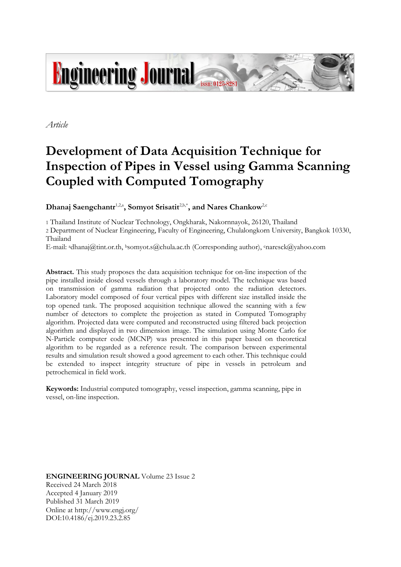

*Article*

# **Development of Data Acquisition Technique for Inspection of Pipes in Vessel using Gamma Scanning Coupled with Computed Tomography**

 $D$ hanaj Saengchantr<sup>1,2,a</sup>, Somyot Srisatit<sup>2,b,\*</sup>, and Nares Chankow<sup>2,c</sup>

1 Thailand Institute of Nuclear Technology, Ongkharak, Nakornnayok, 26120, Thailand

2 Department of Nuclear Engineering, Faculty of Engineering, Chulalongkorn University, Bangkok 10330, Thailand

E-mail: <sup>a</sup>dhanaj@tint.or.th, <sup>b</sup>somyot.s@chula.ac.th (Corresponding author), cnaresck@yahoo.com

**Abstract.** This study proposes the data acquisition technique for on-line inspection of the pipe installed inside closed vessels through a laboratory model. The technique was based on transmission of gamma radiation that projected onto the radiation detectors. Laboratory model composed of four vertical pipes with different size installed inside the top opened tank. The proposed acquisition technique allowed the scanning with a few number of detectors to complete the projection as stated in Computed Tomography algorithm. Projected data were computed and reconstructed using filtered back projection algorithm and displayed in two dimension image. The simulation using Monte Carlo for N-Particle computer code (MCNP) was presented in this paper based on theoretical algorithm to be regarded as a reference result. The comparison between experimental results and simulation result showed a good agreement to each other. This technique could be extended to inspect integrity structure of pipe in vessels in petroleum and petrochemical in field work.

**Keywords:** Industrial computed tomography, vessel inspection, gamma scanning, pipe in vessel, on-line inspection.

**ENGINEERING JOURNAL** Volume 23 Issue 2 Received 24 March 2018 Accepted 4 January 2019 Published 31 March 2019 Online at http://www.engj.org/ DOI:10.4186/ej.2019.23.2.85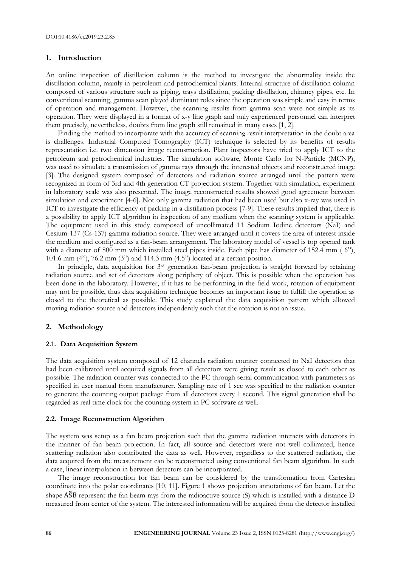## **1. Introduction**

An online inspection of distillation column is the method to investigate the abnormality inside the distillation column, mainly in petroleum and petrochemical plants. Internal structure of distillation column composed of various structure such as piping, trays distillation, packing distillation, chimney pipes, etc. In conventional scanning, gamma scan played dominant roles since the operation was simple and easy in terms of operation and management. However, the scanning results from gamma scan were not simple as its operation. They were displayed in a format of x-y line graph and only experienced personnel can interpret them precisely, nevertheless, doubts from line graph still remained in many cases [1, 2].

Finding the method to incorporate with the accuracy of scanning result interpretation in the doubt area is challenges. Industrial Computed Tomography (ICT) technique is selected by its benefits of results representation i.e. two dimension image reconstruction. Plant inspectors have tried to apply ICT to the petroleum and petrochemical industries. The simulation software, Monte Carlo for N-Particle (MCNP), was used to simulate a transmission of gamma rays through the interested objects and reconstructed image [3]. The designed system composed of detectors and radiation source arranged until the pattern were recognized in form of 3rd and 4th generation CT projection system. Together with simulation, experiment in laboratory scale was also presented. The image reconstructed results showed good agreement between simulation and experiment [4-6]. Not only gamma radiation that had been used but also x-ray was used in ICT to investigate the efficiency of packing in a distillation process [7-9]. These results implied that, there is a possibility to apply ICT algorithm in inspection of any medium when the scanning system is applicable. The equipment used in this study composed of uncollimated 11 Sodium Iodine detectors (NaI) and Cesium-137 (Cs-137) gamma radiation source. They were arranged until it covers the area of interest inside the medium and configured as a fan-beam arrangement. The laboratory model of vessel is top opened tank with a diameter of 800 mm which installed steel pipes inside. Each pipe has diameter of 152.4 mm (6"), 101.6 mm (4"), 76.2 mm (3") and 114.3 mm (4.5") located at a certain position.

In principle, data acquisition for 3rd generation fan-beam projection is straight forward by retaining radiation source and set of detectors along periphery of object. This is possible when the operation has been done in the laboratory. However, if it has to be performing in the field work, rotation of equipment may not be possible, thus data acquisition technique becomes an important issue to fulfill the operation as closed to the theoretical as possible. This study explained the data acquisition pattern which allowed moving radiation source and detectors independently such that the rotation is not an issue.

## **2. Methodology**

## **2.1. Data Acquisition System**

The data acquisition system composed of 12 channels radiation counter connected to NaI detectors that had been calibrated until acquired signals from all detectors were giving result as closed to each other as possible. The radiation counter was connected to the PC through serial communication with parameters as specified in user manual from manufacturer. Sampling rate of 1 sec was specified to the radiation counter to generate the counting output package from all detectors every 1 second. This signal generation shall be regarded as real time clock for the counting system in PC software as well.

#### **2.2. Image Reconstruction Algorithm**

The system was setup as a fan beam projection such that the gamma radiation interacts with detectors in the manner of fan beam projection. In fact, all source and detectors were not well collimated, hence scattering radiation also contributed the data as well. However, regardless to the scattered radiation, the data acquired from the measurement can be reconstructed using conventional fan beam algorithm. In such a case, linear interpolation in between detectors can be incorporated.

The image reconstruction for fan beam can be considered by the transformation from Cartesian coordinate into the polar coordinates [10, 11]. Figure 1 shows projection annotations of fan beam. Let the shape AŜB represent the fan beam rays from the radioactive source (S) which is installed with a distance D measured from center of the system. The interested information will be acquired from the detector installed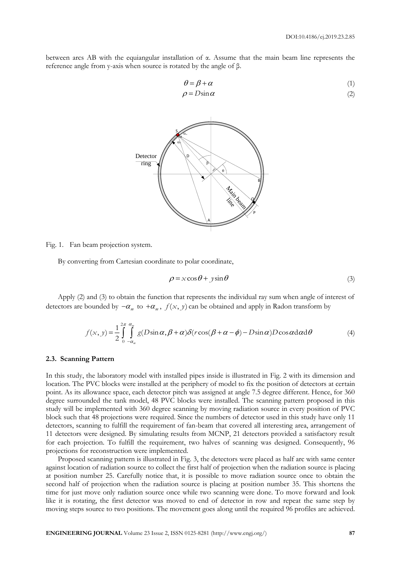between arcs AB with the equiangular installation of α. Assume that the main beam line represents the reference angle from y-axis when source is rotated by the angle of β.

$$
\theta = \beta + \alpha \tag{1}
$$

$$
\rho = D\sin\alpha \tag{2}
$$



Fig. 1. Fan beam projection system.

By converting from Cartesian coordinate to polar coordinate,

$$
\rho = x\cos\theta + y\sin\theta\tag{3}
$$

Apply (2) and (3) to obtain the function that represents the individual ray sum when angle of interest of detectors are bounded by  $-\alpha_m$  to  $+\alpha_m$ ,  $f(x, y)$  can be obtained and apply in Radon transform by

$$
f(x, y) = \frac{1}{2} \int_{0}^{2\pi} \int_{-\alpha_{m}}^{\alpha_{m}} g(D\sin\alpha, \beta + \alpha) \delta(r\cos(\beta + \alpha - \phi) - D\sin\alpha) D\cos\alpha d\alpha d\theta
$$
 (4)

#### **2.3. Scanning Pattern**

In this study, the laboratory model with installed pipes inside is illustrated in Fig. 2 with its dimension and location. The PVC blocks were installed at the periphery of model to fix the position of detectors at certain point. As its allowance space, each detector pitch was assigned at angle 7.5 degree different. Hence, for 360 degree surrounded the tank model, 48 PVC blocks were installed. The scanning pattern proposed in this study will be implemented with 360 degree scanning by moving radiation source in every position of PVC block such that 48 projections were required. Since the numbers of detector used in this study have only 11 detectors, scanning to fulfill the requirement of fan-beam that covered all interesting area, arrangement of 11 detectors were designed. By simulating results from MCNP, 21 detectors provided a satisfactory result for each projection. To fulfill the requirement, two halves of scanning was designed. Consequently, 96 projections for reconstruction were implemented.

Proposed scanning pattern is illustrated in Fig. 3, the detectors were placed as half arc with same center against location of radiation source to collect the first half of projection when the radiation source is placing at position number 25. Carefully notice that, it is possible to move radiation source once to obtain the second half of projection when the radiation source is placing at position number 35. This shortens the time for just move only radiation source once while two scanning were done. To move forward and look like it is rotating, the first detector was moved to end of detector in row and repeat the same step by moving steps source to two positions. The movement goes along until the required 96 profiles are achieved.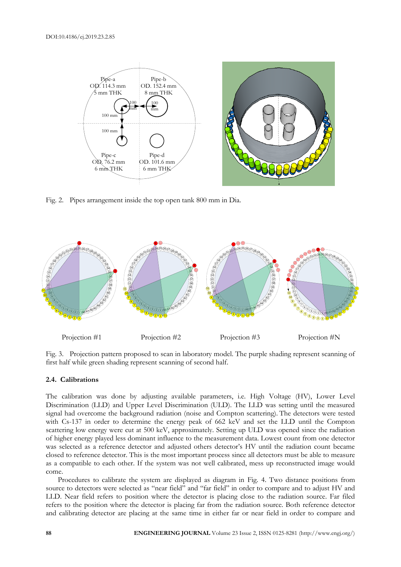

Fig. 2. Pipes arrangement inside the top open tank 800 mm in Dia.



Fig. 3. Projection pattern proposed to scan in laboratory model. The purple shading represent scanning of first half while green shading represent scanning of second half.

## **2.4. Calibrations**

The calibration was done by adjusting available parameters, i.e. High Voltage (HV), Lower Level Discrimination (LLD) and Upper Level Discrimination (ULD). The LLD was setting until the measured signal had overcome the background radiation (noise and Compton scattering). The detectors were tested with Cs-137 in order to determine the energy peak of 662 keV and set the LLD until the Compton scattering low energy were cut at 500 keV, approximately. Setting up ULD was opened since the radiation of higher energy played less dominant influence to the measurement data. Lowest count from one detector was selected as a reference detector and adjusted others detector's HV until the radiation count became closed to reference detector. This is the most important process since all detectors must be able to measure as a compatible to each other. If the system was not well calibrated, mess up reconstructed image would come.

Procedures to calibrate the system are displayed as diagram in Fig. 4. Two distance positions from source to detectors were selected as "near field" and "far field" in order to compare and to adjust HV and LLD. Near field refers to position where the detector is placing close to the radiation source. Far filed refers to the position where the detector is placing far from the radiation source. Both reference detector and calibrating detector are placing at the same time in either far or near field in order to compare and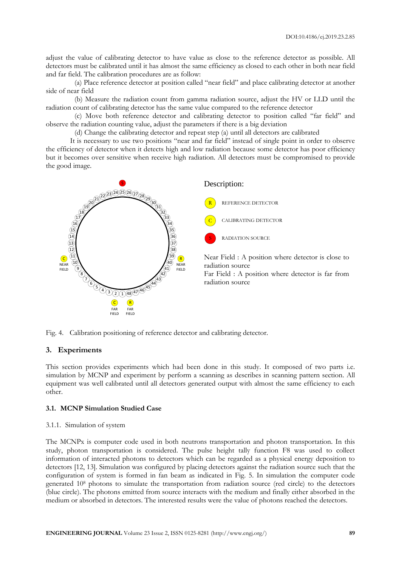adjust the value of calibrating detector to have value as close to the reference detector as possible. All detectors must be calibrated until it has almost the same efficiency as closed to each other in both near field and far field. The calibration procedures are as follow:

(a) Place reference detector at position called "near field" and place calibrating detector at another side of near field

(b) Measure the radiation count from gamma radiation source, adjust the HV or LLD until the radiation count of calibrating detector has the same value compared to the reference detector

(c) Move both reference detector and calibrating detector to position called "far field" and observe the radiation counting value, adjust the parameters if there is a big deviation

(d) Change the calibrating detector and repeat step (a) until all detectors are calibrated

It is necessary to use two positions "near and far field" instead of single point in order to observe the efficiency of detector when it detects high and low radiation because some detector has poor efficiency but it becomes over sensitive when receive high radiation. All detectors must be compromised to provide the good image.



Fig. 4. Calibration positioning of reference detector and calibrating detector.

# **3. Experiments**

This section provides experiments which had been done in this study. It composed of two parts i.e. simulation by MCNP and experiment by perform a scanning as describes in scanning pattern section. All equipment was well calibrated until all detectors generated output with almost the same efficiency to each other.

## **3.1. MCNP Simulation Studied Case**

## 3.1.1. Simulation of system

The MCNPx is computer code used in both neutrons transportation and photon transportation. In this study, photon transportation is considered. The pulse height tally function F8 was used to collect information of interacted photons to detectors which can be regarded as a physical energy deposition to detectors [12, 13]. Simulation was configured by placing detectors against the radiation source such that the configuration of system is formed in fan beam as indicated in Fig. 5. In simulation the computer code generated 10<sup>8</sup> photons to simulate the transportation from radiation source (red circle) to the detectors (blue circle). The photons emitted from source interacts with the medium and finally either absorbed in the medium or absorbed in detectors. The interested results were the value of photons reached the detectors.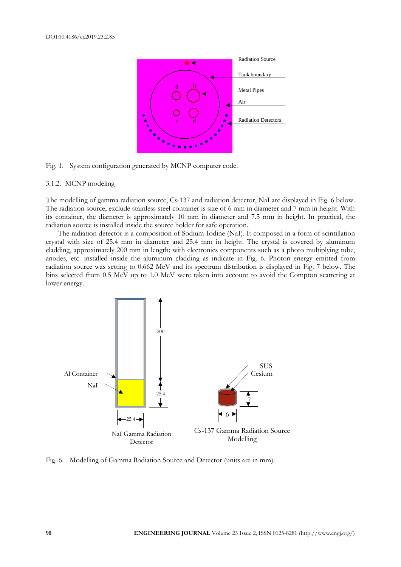

Fig. 1. System configuration generated by MCNP computer code.

#### 3.1.2. MCNP modeling

The modelling of gamma radiation source, Cs-137 and radiation detector, NaI are displayed in Fig. 6 below. The radiation source, exclude stainless steel container is size of 6 mm in diameter and 7 mm in height. With its container, the diameter is approximately 10 mm in diameter and 7.5 mm in height. In practical, the radiation source is installed inside the source holder for safe operation.

The radiation detector is a composition of Sodium-Iodine (NaI). It composed in a form of scintillation crystal with size of 25.4 mm in diameter and 25.4 mm in height. The crystal is covered by aluminum cladding, approximately 200 mm in length; with electronics components such as a photo multiplying tube, anodes, etc. installed inside the aluminum cladding as indicate in Fig. 6. Photon energy emitted from radiation source was setting to 0.662 MeV and its spectrum distribution is displayed in Fig. 7 below. The bins selected from 0.5 MeV up to 1.0 MeV were taken into account to avoid the Compton scattering at lower energy.



Fig. 6. Modelling of Gamma Radiation Source and Detector (units are in mm).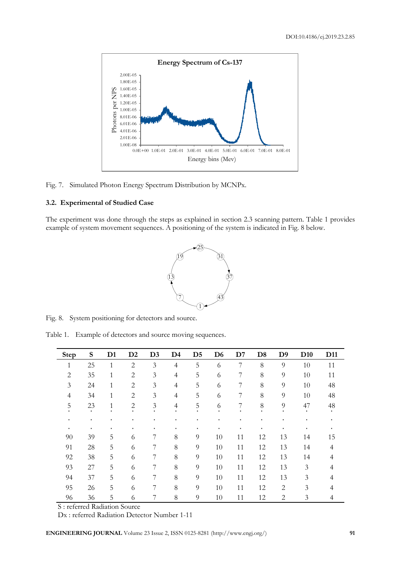

Fig. 7. Simulated Photon Energy Spectrum Distribution by MCNPx.

# **3.2. Experimental of Studied Case**

The experiment was done through the steps as explained in section 2.3 scanning pattern. Table 1 provides example of system movement sequences. A positioning of the system is indicated in Fig. 8 below.



Fig. 8. System positioning for detectors and source.

Table 1. Example of detectors and source moving sequences.

| <b>Step</b> | S  | D <sub>1</sub> | $\mathbf{D}2$  | D3 | D4             | D <sub>5</sub> | D <sub>6</sub> | $\mathbf{D}7$ | D <sub>8</sub> | D9             | D <sub>10</sub> | D11 |
|-------------|----|----------------|----------------|----|----------------|----------------|----------------|---------------|----------------|----------------|-----------------|-----|
| 1           | 25 | 1              | $\overline{2}$ | 3  | $\overline{4}$ | 5              | 6              | 7             | 8              | 9              | 10              | 11  |
| 2           | 35 | $\mathbf{1}$   | 2              | 3  | $\overline{4}$ | 5              | 6              | 7             | $8\,$          | 9              | 10              | 11  |
| 3           | 24 | 1              | $\overline{2}$ | 3  | $\overline{4}$ | 5              | 6              | 7             | $8\,$          | 9              | 10              | 48  |
| 4           | 34 | 1              | $\overline{2}$ | 3  | $\overline{4}$ | 5              | 6              | 7             | 8              | 9              | 10              | 48  |
| 5           | 23 | 1              | $\overline{2}$ | 3  | $\overline{4}$ | 5              | 6              | 7             | $8\,$          | 9              | 47              | 48  |
| ٠           |    | ٠              |                | ٠  |                |                | ٠              |               | ٠              |                |                 |     |
| ٠.          | ٠  | ٠              |                | ٠  | ٠              | ٠              | ٠              |               | ٠              |                |                 |     |
| 90          | 39 | 5              | 6              | 7  | 8              | 9              | 10             | 11            | 12             | 13             | 14              | 15  |
| 91          | 28 | 5              | 6              | 7  | 8              | 9              | 10             | 11            | 12             | 13             | 14              | 4   |
| 92          | 38 | 5              | 6              | 7  | 8              | 9              | 10             | 11            | 12             | 13             | 14              | 4   |
| 93          | 27 | 5              | 6              | 7  | 8              | 9              | 10             | 11            | 12             | 13             | 3               | 4   |
| 94          | 37 | 5              | 6              | 7  | 8              | 9              | 10             | 11            | 12             | 13             | 3               | 4   |
| 95          | 26 | 5              | 6              | 7  | 8              | 9              | 10             | 11            | 12             | $\overline{2}$ | 3               | 4   |
| 96          | 36 | 5              | 6              | 7  | 8              | 9              | 10             | 11            | 12             | 2              | 3               | 4   |

S : referred Radiation Source

Dx : referred Radiation Detector Number 1-11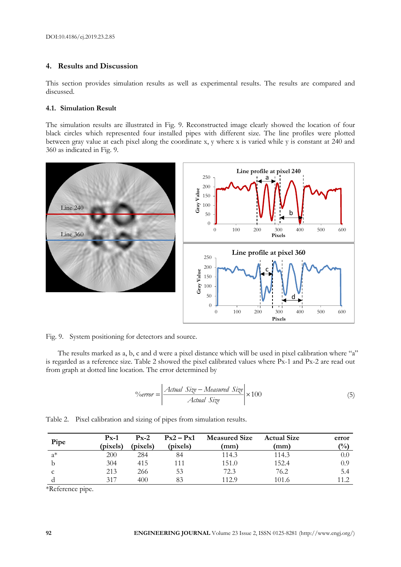# **4. Results and Discussion**

This section provides simulation results as well as experimental results. The results are compared and discussed.

## **4.1. Simulation Result**

The simulation results are illustrated in Fig. 9. Reconstructed image clearly showed the location of four black circles which represented four installed pipes with different size. The line profiles were plotted between gray value at each pixel along the coordinate x, y where x is varied while y is constant at 240 and 360 as indicated in Fig. 9.



Fig. 9. System positioning for detectors and source.

The results marked as a, b, c and d were a pixel distance which will be used in pixel calibration where "a" is regarded as a reference size. Table 2 showed the pixel calibrated values where Px-1 and Px-2 are read out from graph at dotted line location. The error determined by

$$
\%error = \frac{Actual\ Size - Measured\ Size}{Actual\ Size} \times 100 \tag{5}
$$

Table 2. Pixel calibration and sizing of pipes from simulation results.

| Pipe  | $Px-1$<br>(pixels) | $P_{X-2}$<br>(pixels) | $Px2 - Px1$<br>(pixels) | <b>Measured Size</b><br>(mm) | <b>Actual Size</b><br>(mm) | error<br>$\frac{(0)}{0}$ |
|-------|--------------------|-----------------------|-------------------------|------------------------------|----------------------------|--------------------------|
| $a^*$ | 200                | 284                   | 84                      | 114.3                        | 114.3                      | $0.0\,$                  |
|       | 304                | 415                   | 111                     | 151.0                        | 152.4                      | 0.9                      |
| C     | 213                | 266                   | 53                      | 72.3                         | 76.2                       | 5.4                      |
|       | 317                | 400                   | 83                      | 112.9                        | 101.6                      |                          |

\*Reference pipe.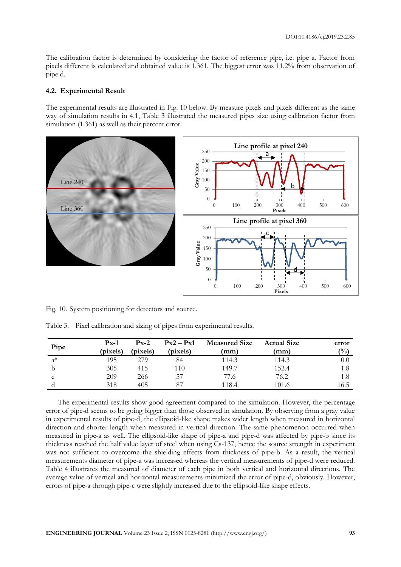The calibration factor is determined by considering the factor of reference pipe, i.e. pipe a. Factor from pixels different is calculated and obtained value is 1.361. The biggest error was 11.2% from observation of pipe d.

## **4.2. Experimental Result**

The experimental results are illustrated in Fig. 10 below. By measure pixels and pixels different as the same way of simulation results in 4.1, Table 3 illustrated the measured pipes size using calibration factor from simulation  $(1.361)$  as well as their percent error.



Fig. 10. System positioning for detectors and source.

|       | $Px-1$   | $P_{X-2}$ | $Px2 - Px1$ | <b>Measured Size</b> | <b>Actual Size</b> | error  |
|-------|----------|-----------|-------------|----------------------|--------------------|--------|
| Pipe  | (pixels) | (pixels)  | (pixels)    | (mm)                 | (mm)               | $($ %) |
| $a^*$ | 195      | 279       | 84          | 114.3                | 114.3              | 0.0    |
|       | 305      | 415       | 110         | 149.7                | 152.4              | 1.8    |
| C     | 209      | 266       | 57          | 77.6                 | 76.2               | 1.8    |
|       | 318      | 405       | -87         | 118.4                | 101.6              | 16.5   |

Table 3. Pixel calibration and sizing of pipes from experimental results.

The experimental results show good agreement compared to the simulation. However, the percentage error of pipe-d seems to be going bigger than those observed in simulation. By observing from a gray value in experimental results of pipe-d, the ellipsoid-like shape makes wider length when measured in horizontal direction and shorter length when measured in vertical direction. The same phenomenon occurred when measured in pipe-a as well. The ellipsoid-like shape of pipe-a and pipe-d was affected by pipe-b since its thickness reached the half value layer of steel when using Cs-137, hence the source strength in experiment was not sufficient to overcome the shielding effects from thickness of pipe-b. As a result, the vertical measurements diameter of pipe-a was increased whereas the vertical measurements of pipe-d were reduced. Table 4 illustrates the measured of diameter of each pipe in both vertical and horizontal directions. The average value of vertical and horizontal measurements minimized the error of pipe-d, obviously. However, errors of pipe-a through pipe-c were slightly increased due to the ellipsoid-like shape effects.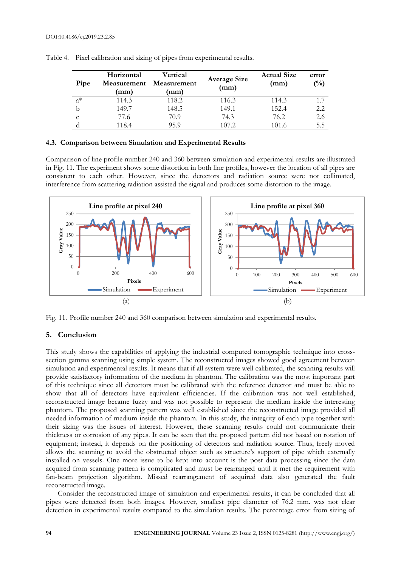| Pipe  | Horizontal<br>Measurement<br>(mm) | Vertical<br>Measurement<br>(mm) | <b>Average Size</b><br>(mm) | <b>Actual Size</b><br>(mm) | error<br>$\binom{0}{0}$ |
|-------|-----------------------------------|---------------------------------|-----------------------------|----------------------------|-------------------------|
| $a^*$ | 114.3                             | 118.2                           | 116.3                       | 114.3                      | 1.7                     |
|       | 149.7                             | 148.5                           | 149.1                       | 152.4                      | 2.2                     |
| C     | 77.6                              | 70.9                            | 74.3                        | 76.2                       | 2.6                     |
|       | 118.4                             | 95.9                            | 107.2                       | 101.6                      | 5.5                     |

Table 4. Pixel calibration and sizing of pipes from experimental results.

## **4.3. Comparison between Simulation and Experimental Results**

Comparison of line profile number 240 and 360 between simulation and experimental results are illustrated in Fig. 11. The experiment shows some distortion in both line profiles, however the location of all pipes are consistent to each other. However, since the detectors and radiation source were not collimated, interference from scattering radiation assisted the signal and produces some distortion to the image.



Fig. 11. Profile number 240 and 360 comparison between simulation and experimental results.

# **5. Conclusion**

This study shows the capabilities of applying the industrial computed tomographic technique into crosssection gamma scanning using simple system. The reconstructed images showed good agreement between simulation and experimental results. It means that if all system were well calibrated, the scanning results will provide satisfactory information of the medium in phantom. The calibration was the most important part of this technique since all detectors must be calibrated with the reference detector and must be able to show that all of detectors have equivalent efficiencies. If the calibration was not well established, reconstructed image became fuzzy and was not possible to represent the medium inside the interesting phantom. The proposed scanning pattern was well established since the reconstructed image provided all needed information of medium inside the phantom. In this study, the integrity of each pipe together with their sizing was the issues of interest. However, these scanning results could not communicate their thickness or corrosion of any pipes. It can be seen that the proposed pattern did not based on rotation of equipment; instead, it depends on the positioning of detectors and radiation source. Thus, freely moved allows the scanning to avoid the obstructed object such as structure's support of pipe which externally installed on vessels. One more issue to be kept into account is the post data processing since the data acquired from scanning pattern is complicated and must be rearranged until it met the requirement with fan-beam projection algorithm. Missed rearrangement of acquired data also generated the fault reconstructed image.

Consider the reconstructed image of simulation and experimental results, it can be concluded that all pipes were detected from both images. However, smallest pipe diameter of 76.2 mm. was not clear detection in experimental results compared to the simulation results. The percentage error from sizing of